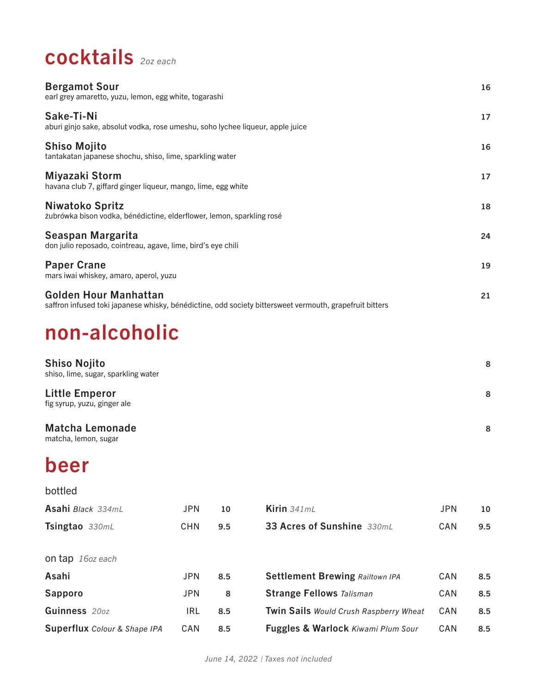# cocktails *2oz each*

| <b>Bergamot Sour</b><br>earl grey amaretto, yuzu, lemon, egg white, togarashi                                                           | 16 |
|-----------------------------------------------------------------------------------------------------------------------------------------|----|
| Sake-Ti-Ni<br>aburi ginjo sake, absolut vodka, rose umeshu, soho lychee liqueur, apple juice                                            | 17 |
| <b>Shiso Mojito</b><br>tantakatan japanese shochu, shiso, lime, sparkling water                                                         | 16 |
| Miyazaki Storm<br>havana club 7, giffard ginger liqueur, mango, lime, egg white                                                         | 17 |
| Niwatoko Spritz<br>żubrówka bison vodka, bénédictine, elderflower, lemon, sparkling rosé                                                | 18 |
| Seaspan Margarita<br>don julio reposado, cointreau, agave, lime, bird's eye chili                                                       | 24 |
| <b>Paper Crane</b><br>mars iwai whiskey, amaro, aperol, yuzu                                                                            | 19 |
| <b>Golden Hour Manhattan</b><br>saffron infused toki japanese whisky, bénédictine, odd society bittersweet vermouth, grapefruit bitters | 21 |
| non-alcoholic                                                                                                                           |    |

| <b>Shiso Nojito</b><br>shiso, lime, sugar, sparkling water | 8 |
|------------------------------------------------------------|---|
| <b>Little Emperor</b><br>fig syrup, yuzu, ginger ale       | 8 |
| <b>Matcha Lemonade</b>                                     | 8 |

matcha, lemon, sugar

# beer

#### bottled

| Asahi Black 334mL                   | JPN        | 10  | Kirin $341mL$                                 | <b>JPN</b> | 10  |
|-------------------------------------|------------|-----|-----------------------------------------------|------------|-----|
| Tsingtao 330mL                      | <b>CHN</b> | 9.5 | 33 Acres of Sunshine 330mL                    | CAN        | 9.5 |
|                                     |            |     |                                               |            |     |
| <b>on tap</b> 16 <i>oz</i> each     |            |     |                                               |            |     |
| Asahi                               | <b>JPN</b> | 8.5 | <b>Settlement Brewing Railtown IPA</b>        | <b>CAN</b> | 8.5 |
| Sapporo                             | <b>JPN</b> | 8   | <b>Strange Fellows Talisman</b>               | CAN        | 8.5 |
| Guinness 200Z                       | <b>IRL</b> | 8.5 | <b>Twin Sails Would Crush Raspberry Wheat</b> | CAN        | 8.5 |
| <b>Superflux</b> Colour & Shape IPA | CAN        | 8.5 | Fuggles & Warlock Kiwami Plum Sour            | CAN        | 8.5 |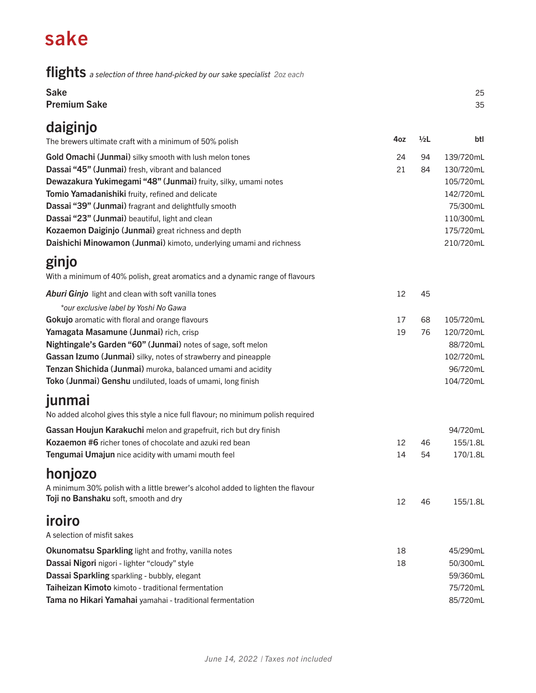## sake

flights *a selection of three hand-picked by our sake specialist 2oz each*

| <b>Sake</b><br><b>Premium Sake</b>                                                |     |               | 25<br>35  |
|-----------------------------------------------------------------------------------|-----|---------------|-----------|
| daiginjo                                                                          |     |               |           |
| The brewers ultimate craft with a minimum of 50% polish                           | 4oz | $\frac{1}{2}$ | btl       |
| Gold Omachi (Junmai) silky smooth with lush melon tones                           | 24  | 94            | 139/720mL |
| Dassai "45" (Junmai) fresh, vibrant and balanced                                  | 21  | 84            | 130/720mL |
| Dewazakura Yukimegami "48" (Junmai) fruity, silky, umami notes                    |     |               | 105/720mL |
| Tomio Yamadanishiki fruity, refined and delicate                                  |     |               | 142/720mL |
| Dassai "39" (Junmai) fragrant and delightfully smooth                             |     |               | 75/300mL  |
| Dassai "23" (Junmai) beautiful, light and clean                                   |     |               | 110/300mL |
| Kozaemon Daiginjo (Junmai) great richness and depth                               |     |               | 175/720mL |
| Daishichi Minowamon (Junmai) kimoto, underlying umami and richness                |     |               | 210/720mL |
| ginjo                                                                             |     |               |           |
| With a minimum of 40% polish, great aromatics and a dynamic range of flavours     |     |               |           |
| Aburi Ginjo light and clean with soft vanilla tones                               | 12  | 45            |           |
| *our exclusive label by Yoshi No Gawa                                             |     |               |           |
| Gokujo aromatic with floral and orange flavours                                   | 17  | 68            | 105/720mL |
| Yamagata Masamune (Junmai) rich, crisp                                            | 19  | 76            | 120/720mL |
| Nightingale's Garden "60" (Junmai) notes of sage, soft melon                      |     |               | 88/720mL  |
| Gassan Izumo (Junmai) silky, notes of strawberry and pineapple                    |     |               | 102/720mL |
| Tenzan Shichida (Junmai) muroka, balanced umami and acidity                       |     |               | 96/720mL  |
| Toko (Junmai) Genshu undiluted, loads of umami, long finish                       |     |               | 104/720mL |
| junmai                                                                            |     |               |           |
|                                                                                   |     |               |           |
| No added alcohol gives this style a nice full flavour; no minimum polish required |     |               |           |
| Gassan Houjun Karakuchi melon and grapefruit, rich but dry finish                 |     |               | 94/720mL  |
| Kozaemon #6 richer tones of chocolate and azuki red bean                          | 12  | 46            | 155/1.8L  |
| Tengumai Umajun nice acidity with umami mouth feel                                | 14  | 54            | 170/1.8L  |
| honjozo                                                                           |     |               |           |
| A minimum 30% polish with a little brewer's alcohol added to lighten the flavour  |     |               |           |
| Toji no Banshaku soft, smooth and dry                                             | 12  | 46            | 155/1.8L  |
|                                                                                   |     |               |           |
| iroiro                                                                            |     |               |           |
| A selection of misfit sakes                                                       |     |               |           |
| Okunomatsu Sparkling light and frothy, vanilla notes                              | 18  |               | 45/290mL  |
| Dassai Nigori nigori - lighter "cloudy" style                                     | 18  |               | 50/300mL  |
| Dassai Sparkling sparkling - bubbly, elegant                                      |     |               | 59/360mL  |
| Taiheizan Kimoto kimoto - traditional fermentation                                |     |               | 75/720mL  |

Tama no Hikari Yamahai yamahai - traditional fermentation and and a state of the state and a state and a state state and state and state and state and state and state and state and state and state and state and state and s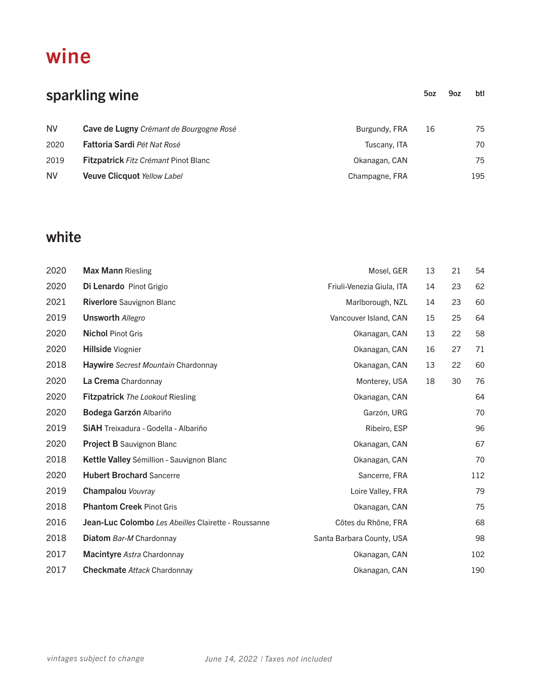### wine

| sparkling wine |                                             | 50 <sub>Z</sub> | 9oz | btl |     |
|----------------|---------------------------------------------|-----------------|-----|-----|-----|
| <b>NV</b>      | Cave de Lugny Crémant de Bourgogne Rosé     | Burgundy, FRA   | 16  |     | 75  |
| 2020           | Fattoria Sardi Pét Nat Rosé                 | Tuscany, ITA    |     |     | 70  |
| 2019           | <b>Fitzpatrick Fitz Crémant Pinot Blanc</b> | Okanagan, CAN   |     |     | 75  |
| <b>NV</b>      | <b>Veuve Clicquot Yellow Label</b>          | Champagne, FRA  |     |     | 195 |

### white

| 2020 | <b>Max Mann Riesling</b>                            | Mosel, GER                | 13 | 21 | 54  |
|------|-----------------------------------------------------|---------------------------|----|----|-----|
| 2020 | Di Lenardo Pinot Grigio                             | Friuli-Venezia Giula, ITA | 14 | 23 | 62  |
| 2021 | <b>Riverlore</b> Sauvignon Blanc                    | Marlborough, NZL          | 14 | 23 | 60  |
| 2019 | <b>Unsworth Allegro</b>                             | Vancouver Island, CAN     | 15 | 25 | 64  |
| 2020 | <b>Nichol Pinot Gris</b>                            | Okanagan, CAN             | 13 | 22 | 58  |
| 2020 | <b>Hillside Viognier</b>                            | Okanagan, CAN             | 16 | 27 | 71  |
| 2018 | <b>Haywire</b> Secrest Mountain Chardonnay          | Okanagan, CAN             | 13 | 22 | 60  |
| 2020 | La Crema Chardonnay                                 | Monterey, USA             | 18 | 30 | 76  |
| 2020 | <b>Fitzpatrick</b> The Lookout Riesling             | Okanagan, CAN             |    |    | 64  |
| 2020 | Bodega Garzón Albariño                              | Garzón, URG               |    |    | 70  |
| 2019 | <b>SIAH</b> Treixadura - Godella - Albariño         | Ribeiro, ESP              |    |    | 96  |
| 2020 | <b>Project B Sauvignon Blanc</b>                    | Okanagan, CAN             |    |    | 67  |
| 2018 | Kettle Valley Sémillion - Sauvignon Blanc           | Okanagan, CAN             |    |    | 70  |
| 2020 | <b>Hubert Brochard Sancerre</b>                     | Sancerre, FRA             |    |    | 112 |
| 2019 | <b>Champalou Vouvray</b>                            | Loire Valley, FRA         |    |    | 79  |
| 2018 | <b>Phantom Creek Pinot Gris</b>                     | Okanagan, CAN             |    |    | 75  |
| 2016 | Jean-Luc Colombo Les Abeilles Clairette - Roussanne | Côtes du Rhône, FRA       |    |    | 68  |
| 2018 | <b>Diatom</b> Bar-M Chardonnay                      | Santa Barbara County, USA |    |    | 98  |
| 2017 | <b>Macintyre Astra Chardonnay</b>                   | Okanagan, CAN             |    |    | 102 |
| 2017 | <b>Checkmate Attack Chardonnay</b>                  | Okanagan, CAN             |    |    | 190 |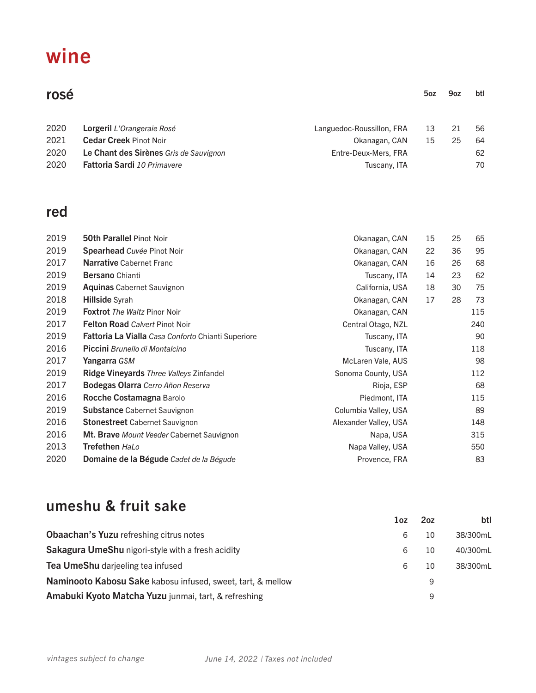# wine

| rosé |                                        |                           | 50 <sub>Z</sub> | 9oz | btl |
|------|----------------------------------------|---------------------------|-----------------|-----|-----|
| 2020 | <b>Lorgeril</b> L'Orangeraie Rosé      | Languedoc-Roussillon, FRA | 13              | 21  | 56  |
| 2021 | <b>Cedar Creek Pinot Noir</b>          | Okanagan, CAN             | 15              | 25  | 64  |
| 2020 | Le Chant des Sirènes Gris de Sauvignon | Entre-Deux-Mers, FRA      |                 |     | 62  |
| 2020 | <b>Fattoria Sardi</b> 10 Primavere     | Tuscany, ITA              |                 |     | 70  |
|      |                                        |                           |                 |     |     |

### red

| 2019 | <b>50th Parallel Pinot Noir</b>                           | Okanagan, CAN         | 15 | 25 | 65  |
|------|-----------------------------------------------------------|-----------------------|----|----|-----|
| 2019 | Spearhead Cuvée Pinot Noir                                | Okanagan, CAN         | 22 | 36 | 95  |
| 2017 | <b>Narrative Cabernet Franc</b>                           | Okanagan, CAN         | 16 | 26 | 68  |
| 2019 | <b>Bersano</b> Chianti                                    | Tuscany, ITA          | 14 | 23 | 62  |
| 2019 | <b>Aquinas Cabernet Sauvignon</b>                         | California, USA       | 18 | 30 | 75  |
| 2018 | <b>Hillside Syrah</b>                                     | Okanagan, CAN         | 17 | 28 | 73  |
| 2019 | <b>Foxtrot</b> The Waltz Pinor Noir                       | Okanagan, CAN         |    |    | 115 |
| 2017 | <b>Felton Road Calvert Pinot Noir</b>                     | Central Otago, NZL    |    |    | 240 |
| 2019 | <b>Fattoria La Vialla</b> Casa Conforto Chianti Superiore | Tuscany, ITA          |    |    | 90  |
| 2016 | <b>Piccini</b> Brunello di Montalcino                     | Tuscany, ITA          |    |    | 118 |
| 2017 | Yangarra GSM                                              | McLaren Vale, AUS     |    |    | 98  |
| 2019 | <b>Ridge Vineyards</b> Three Valleys Zinfandel            | Sonoma County, USA    |    |    | 112 |
| 2017 | <b>Bodegas Olarra</b> Cerro Añon Reserva                  | Rioja, ESP            |    |    | 68  |
| 2016 | Rocche Costamagna Barolo                                  | Piedmont, ITA         |    |    | 115 |
| 2019 | <b>Substance Cabernet Sauvignon</b>                       | Columbia Valley, USA  |    |    | 89  |
| 2016 | <b>Stonestreet</b> Cabernet Sauvignon                     | Alexander Valley, USA |    |    | 148 |
| 2016 | Mt. Brave Mount Veeder Cabernet Sauvignon                 | Napa, USA             |    |    | 315 |
| 2013 | Trefethen HaLo                                            | Napa Valley, USA      |    |    | 550 |
| 2020 | Domaine de la Bégude Cadet de la Bégude                   | Provence, FRA         |    |    | 83  |

### umeshu & fruit sake

|                                                             | 1oz | 2 <sub>oz</sub> | btl      |
|-------------------------------------------------------------|-----|-----------------|----------|
| <b>Obaachan's Yuzu refreshing citrus notes</b>              | 6   | 10              | 38/300mL |
| Sakagura UmeShu nigori-style with a fresh acidity           | 6   | 10              | 40/300mL |
| Tea UmeShu darjeeling tea infused                           | 6   | 10              | 38/300mL |
| Naminooto Kabosu Sake kabosu infused, sweet, tart, & mellow |     | 9               |          |
| Amabuki Kyoto Matcha Yuzu junmai, tart, & refreshing        |     | 9               |          |